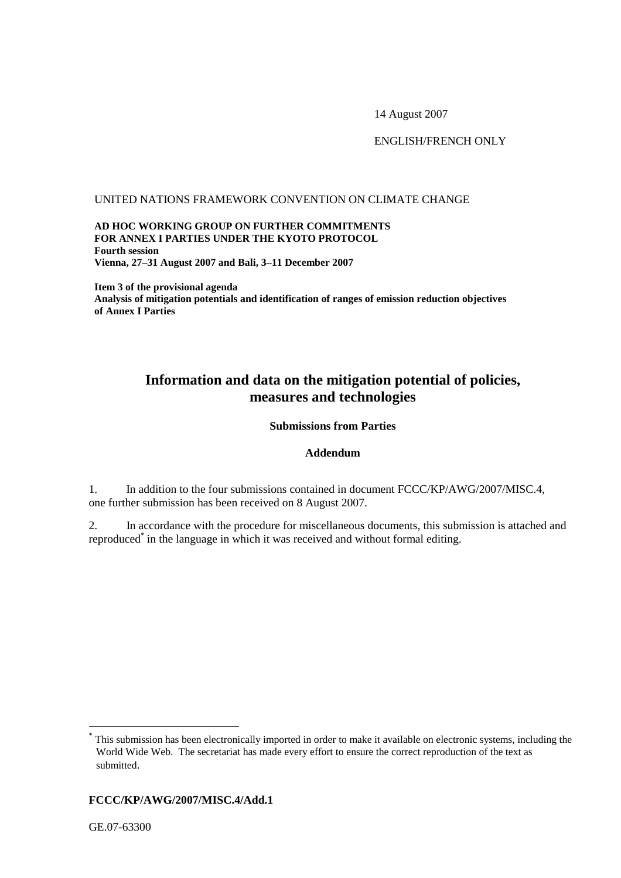14 August 2007

ENGLISH/FRENCH ONLY

#### UNITED NATIONS FRAMEWORK CONVENTION ON CLIMATE CHANGE

**AD HOC WORKING GROUP ON FURTHER COMMITMENTS FOR ANNEX I PARTIES UNDER THE KYOTO PROTOCOL Fourth session Vienna, 27–31 August 2007 and Bali, 3–11 December 2007** 

**Item 3 of the provisional agenda Analysis of mitigation potentials and identification of ranges of emission reduction objectives of Annex I Parties** 

# **Information and data on the mitigation potential of policies, measures and technologies**

#### **Submissions from Parties**

#### **Addendum**

1. In addition to the four submissions contained in document FCCC/KP/AWG/2007/MISC.4, one further submission has been received on 8 August 2007.

2. In accordance with the procedure for miscellaneous documents, this submission is attached and reproduced<sup>\*</sup> in the language in which it was received and without formal editing.

### **FCCC/KP/AWG/2007/MISC.4/Add.1**

 $\overline{a}$ 

This submission has been electronically imported in order to make it available on electronic systems, including the World Wide Web. The secretariat has made every effort to ensure the correct reproduction of the text as submitted.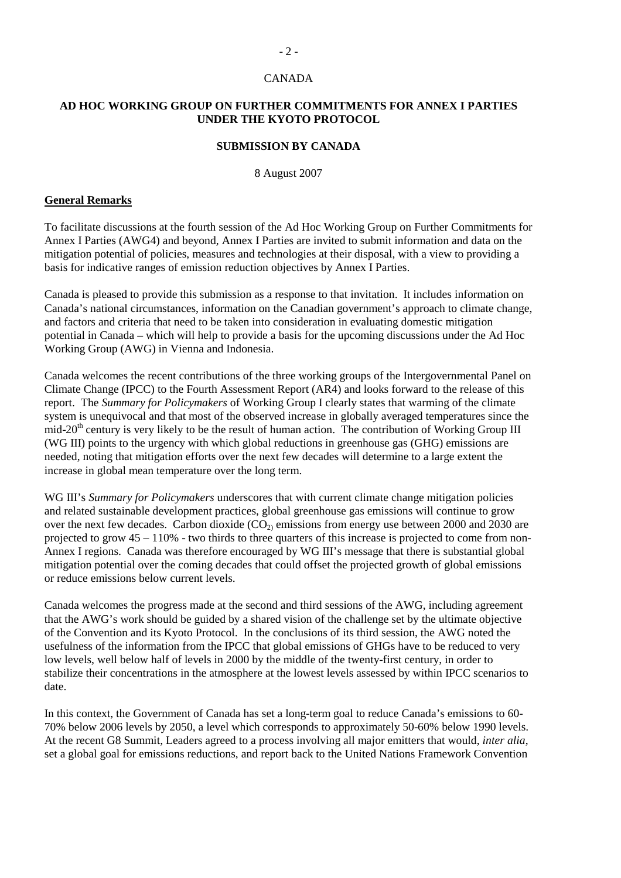### CANADA

### **AD HOC WORKING GROUP ON FURTHER COMMITMENTS FOR ANNEX I PARTIES UNDER THE KYOTO PROTOCOL**

### **SUBMISSION BY CANADA**

8 August 2007

#### **General Remarks**

To facilitate discussions at the fourth session of the Ad Hoc Working Group on Further Commitments for Annex I Parties (AWG4) and beyond, Annex I Parties are invited to submit information and data on the mitigation potential of policies, measures and technologies at their disposal, with a view to providing a basis for indicative ranges of emission reduction objectives by Annex I Parties.

Canada is pleased to provide this submission as a response to that invitation. It includes information on Canada's national circumstances, information on the Canadian government's approach to climate change, and factors and criteria that need to be taken into consideration in evaluating domestic mitigation potential in Canada – which will help to provide a basis for the upcoming discussions under the Ad Hoc Working Group (AWG) in Vienna and Indonesia.

Canada welcomes the recent contributions of the three working groups of the Intergovernmental Panel on Climate Change (IPCC) to the Fourth Assessment Report (AR4) and looks forward to the release of this report. The *Summary for Policymakers* of Working Group I clearly states that warming of the climate system is unequivocal and that most of the observed increase in globally averaged temperatures since the  $mid-20<sup>th</sup>$  century is very likely to be the result of human action. The contribution of Working Group III (WG III) points to the urgency with which global reductions in greenhouse gas (GHG) emissions are needed, noting that mitigation efforts over the next few decades will determine to a large extent the increase in global mean temperature over the long term.

WG III's *Summary for Policymakers* underscores that with current climate change mitigation policies and related sustainable development practices, global greenhouse gas emissions will continue to grow over the next few decades. Carbon dioxide  $(CO_2)$  emissions from energy use between 2000 and 2030 are projected to grow 45 – 110% - two thirds to three quarters of this increase is projected to come from non-Annex I regions. Canada was therefore encouraged by WG III's message that there is substantial global mitigation potential over the coming decades that could offset the projected growth of global emissions or reduce emissions below current levels.

Canada welcomes the progress made at the second and third sessions of the AWG, including agreement that the AWG's work should be guided by a shared vision of the challenge set by the ultimate objective of the Convention and its Kyoto Protocol. In the conclusions of its third session, the AWG noted the usefulness of the information from the IPCC that global emissions of GHGs have to be reduced to very low levels, well below half of levels in 2000 by the middle of the twenty-first century, in order to stabilize their concentrations in the atmosphere at the lowest levels assessed by within IPCC scenarios to date.

In this context, the Government of Canada has set a long-term goal to reduce Canada's emissions to 60- 70% below 2006 levels by 2050, a level which corresponds to approximately 50-60% below 1990 levels. At the recent G8 Summit, Leaders agreed to a process involving all major emitters that would, *inter alia*, set a global goal for emissions reductions, and report back to the United Nations Framework Convention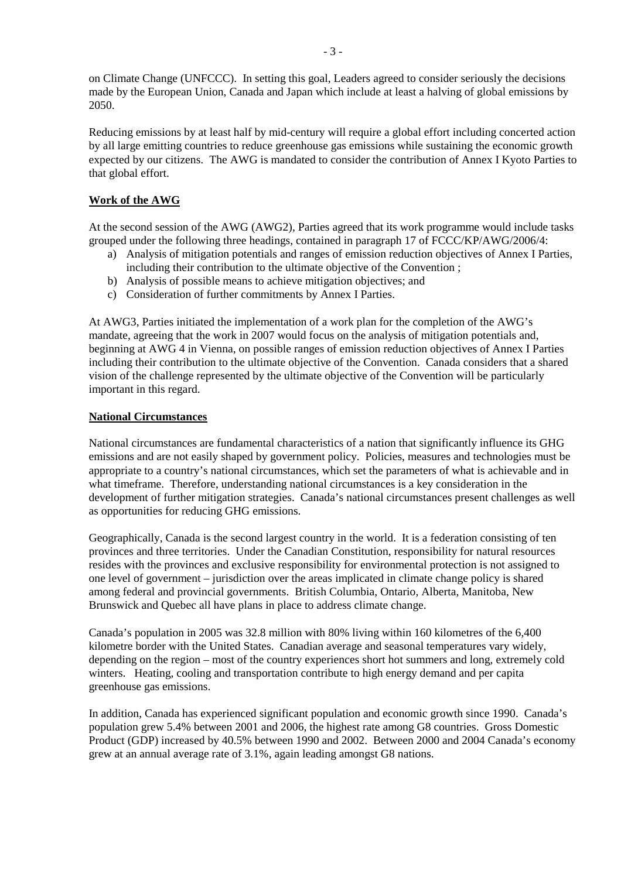on Climate Change (UNFCCC). In setting this goal, Leaders agreed to consider seriously the decisions made by the European Union, Canada and Japan which include at least a halving of global emissions by 2050.

Reducing emissions by at least half by mid-century will require a global effort including concerted action by all large emitting countries to reduce greenhouse gas emissions while sustaining the economic growth expected by our citizens. The AWG is mandated to consider the contribution of Annex I Kyoto Parties to that global effort.

# **Work of the AWG**

At the second session of the AWG (AWG2), Parties agreed that its work programme would include tasks grouped under the following three headings, contained in paragraph 17 of FCCC/KP/AWG/2006/4:

- a) Analysis of mitigation potentials and ranges of emission reduction objectives of Annex I Parties, including their contribution to the ultimate objective of the Convention ;
- b) Analysis of possible means to achieve mitigation objectives; and
- c) Consideration of further commitments by Annex I Parties.

At AWG3, Parties initiated the implementation of a work plan for the completion of the AWG's mandate, agreeing that the work in 2007 would focus on the analysis of mitigation potentials and, beginning at AWG 4 in Vienna, on possible ranges of emission reduction objectives of Annex I Parties including their contribution to the ultimate objective of the Convention. Canada considers that a shared vision of the challenge represented by the ultimate objective of the Convention will be particularly important in this regard.

### **National Circumstances**

National circumstances are fundamental characteristics of a nation that significantly influence its GHG emissions and are not easily shaped by government policy. Policies, measures and technologies must be appropriate to a country's national circumstances, which set the parameters of what is achievable and in what timeframe. Therefore, understanding national circumstances is a key consideration in the development of further mitigation strategies. Canada's national circumstances present challenges as well as opportunities for reducing GHG emissions.

Geographically, Canada is the second largest country in the world. It is a federation consisting of ten provinces and three territories. Under the Canadian Constitution, responsibility for natural resources resides with the provinces and exclusive responsibility for environmental protection is not assigned to one level of government – jurisdiction over the areas implicated in climate change policy is shared among federal and provincial governments. British Columbia, Ontario, Alberta, Manitoba, New Brunswick and Quebec all have plans in place to address climate change.

Canada's population in 2005 was 32.8 million with 80% living within 160 kilometres of the 6,400 kilometre border with the United States. Canadian average and seasonal temperatures vary widely, depending on the region – most of the country experiences short hot summers and long, extremely cold winters. Heating, cooling and transportation contribute to high energy demand and per capita greenhouse gas emissions.

In addition, Canada has experienced significant population and economic growth since 1990. Canada's population grew 5.4% between 2001 and 2006, the highest rate among G8 countries. Gross Domestic Product (GDP) increased by 40.5% between 1990 and 2002. Between 2000 and 2004 Canada's economy grew at an annual average rate of 3.1%, again leading amongst G8 nations.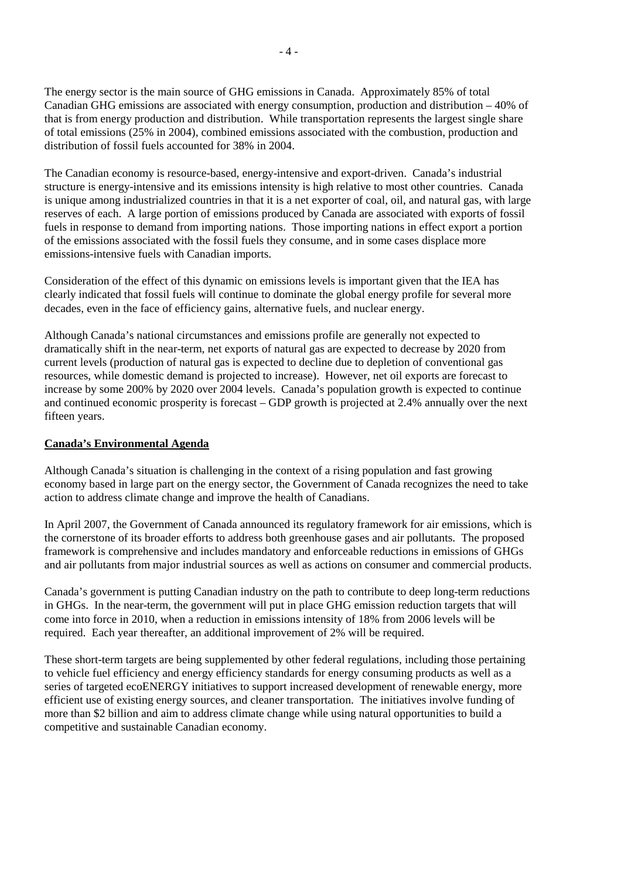The energy sector is the main source of GHG emissions in Canada. Approximately 85% of total Canadian GHG emissions are associated with energy consumption, production and distribution – 40% of that is from energy production and distribution. While transportation represents the largest single share of total emissions (25% in 2004), combined emissions associated with the combustion, production and distribution of fossil fuels accounted for 38% in 2004.

The Canadian economy is resource-based, energy-intensive and export-driven. Canada's industrial structure is energy-intensive and its emissions intensity is high relative to most other countries. Canada is unique among industrialized countries in that it is a net exporter of coal, oil, and natural gas, with large reserves of each. A large portion of emissions produced by Canada are associated with exports of fossil fuels in response to demand from importing nations. Those importing nations in effect export a portion of the emissions associated with the fossil fuels they consume, and in some cases displace more emissions-intensive fuels with Canadian imports.

Consideration of the effect of this dynamic on emissions levels is important given that the IEA has clearly indicated that fossil fuels will continue to dominate the global energy profile for several more decades, even in the face of efficiency gains, alternative fuels, and nuclear energy.

Although Canada's national circumstances and emissions profile are generally not expected to dramatically shift in the near-term, net exports of natural gas are expected to decrease by 2020 from current levels (production of natural gas is expected to decline due to depletion of conventional gas resources, while domestic demand is projected to increase). However, net oil exports are forecast to increase by some 200% by 2020 over 2004 levels. Canada's population growth is expected to continue and continued economic prosperity is forecast – GDP growth is projected at 2.4% annually over the next fifteen years.

### **Canada's Environmental Agenda**

Although Canada's situation is challenging in the context of a rising population and fast growing economy based in large part on the energy sector, the Government of Canada recognizes the need to take action to address climate change and improve the health of Canadians.

In April 2007, the Government of Canada announced its regulatory framework for air emissions, which is the cornerstone of its broader efforts to address both greenhouse gases and air pollutants. The proposed framework is comprehensive and includes mandatory and enforceable reductions in emissions of GHGs and air pollutants from major industrial sources as well as actions on consumer and commercial products.

Canada's government is putting Canadian industry on the path to contribute to deep long-term reductions in GHGs. In the near-term, the government will put in place GHG emission reduction targets that will come into force in 2010, when a reduction in emissions intensity of 18% from 2006 levels will be required. Each year thereafter, an additional improvement of 2% will be required.

These short-term targets are being supplemented by other federal regulations, including those pertaining to vehicle fuel efficiency and energy efficiency standards for energy consuming products as well as a series of targeted ecoENERGY initiatives to support increased development of renewable energy, more efficient use of existing energy sources, and cleaner transportation. The initiatives involve funding of more than \$2 billion and aim to address climate change while using natural opportunities to build a competitive and sustainable Canadian economy.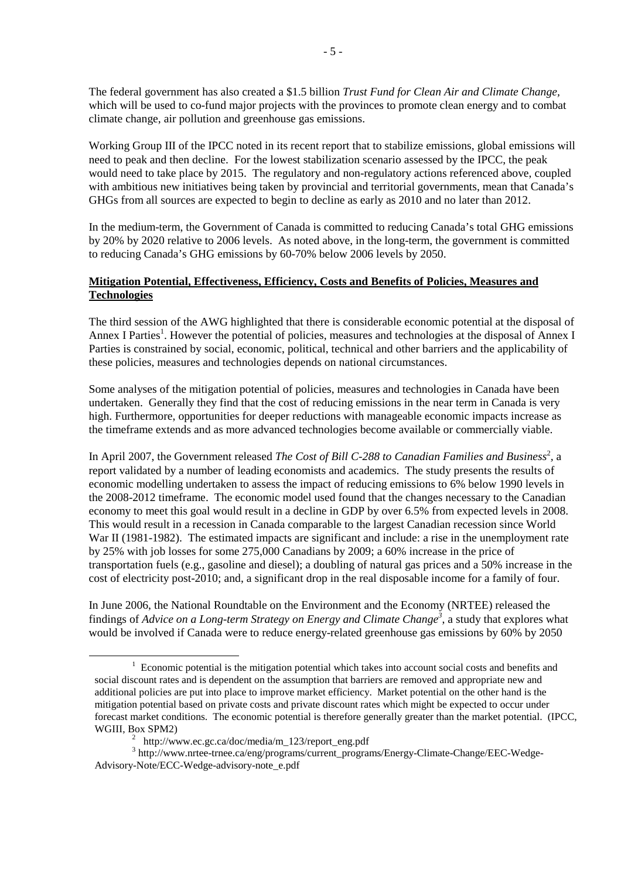The federal government has also created a \$1.5 billion *Trust Fund for Clean Air and Climate Change,* which will be used to co-fund major projects with the provinces to promote clean energy and to combat climate change, air pollution and greenhouse gas emissions.

Working Group III of the IPCC noted in its recent report that to stabilize emissions, global emissions will need to peak and then decline. For the lowest stabilization scenario assessed by the IPCC, the peak would need to take place by 2015. The regulatory and non-regulatory actions referenced above, coupled with ambitious new initiatives being taken by provincial and territorial governments, mean that Canada's GHGs from all sources are expected to begin to decline as early as 2010 and no later than 2012.

In the medium-term, the Government of Canada is committed to reducing Canada's total GHG emissions by 20% by 2020 relative to 2006 levels. As noted above, in the long-term, the government is committed to reducing Canada's GHG emissions by 60-70% below 2006 levels by 2050.

### **Mitigation Potential, Effectiveness, Efficiency, Costs and Benefits of Policies, Measures and Technologies**

The third session of the AWG highlighted that there is considerable economic potential at the disposal of Annex I Parties<sup>1</sup>. However the potential of policies, measures and technologies at the disposal of Annex I Parties is constrained by social, economic, political, technical and other barriers and the applicability of these policies, measures and technologies depends on national circumstances.

Some analyses of the mitigation potential of policies, measures and technologies in Canada have been undertaken. Generally they find that the cost of reducing emissions in the near term in Canada is very high. Furthermore, opportunities for deeper reductions with manageable economic impacts increase as the timeframe extends and as more advanced technologies become available or commercially viable.

In April 2007, the Government released *The Cost of Bill C-288 to Canadian Families and Business<sup>2</sup>, a* report validated by a number of leading economists and academics. The study presents the results of economic modelling undertaken to assess the impact of reducing emissions to 6% below 1990 levels in the 2008-2012 timeframe. The economic model used found that the changes necessary to the Canadian economy to meet this goal would result in a decline in GDP by over 6.5% from expected levels in 2008. This would result in a recession in Canada comparable to the largest Canadian recession since World War II (1981-1982). The estimated impacts are significant and include: a rise in the unemployment rate by 25% with job losses for some 275,000 Canadians by 2009; a 60% increase in the price of transportation fuels (e.g., gasoline and diesel); a doubling of natural gas prices and a 50% increase in the cost of electricity post-2010; and, a significant drop in the real disposable income for a family of four.

In June 2006, the National Roundtable on the Environment and the Economy (NRTEE) released the findings of *Advice on a Long-term Strategy on Energy and Climate Change<sup>3</sup>* , a study that explores what would be involved if Canada were to reduce energy-related greenhouse gas emissions by 60% by 2050

<sup>&</sup>lt;u>1</u>  $1$  Economic potential is the mitigation potential which takes into account social costs and benefits and social discount rates and is dependent on the assumption that barriers are removed and appropriate new and additional policies are put into place to improve market efficiency. Market potential on the other hand is the mitigation potential based on private costs and private discount rates which might be expected to occur under forecast market conditions. The economic potential is therefore generally greater than the market potential. (IPCC, WGIII, Box SPM2)

<sup>&</sup>lt;sup>2</sup> http://www.ec.gc.ca/doc/media/m 123/report eng.pdf

http://www.nrtee-trnee.ca/eng/programs/current\_programs/Energy-Climate-Change/EEC-Wedge-Advisory-Note/ECC-Wedge-advisory-note\_e.pdf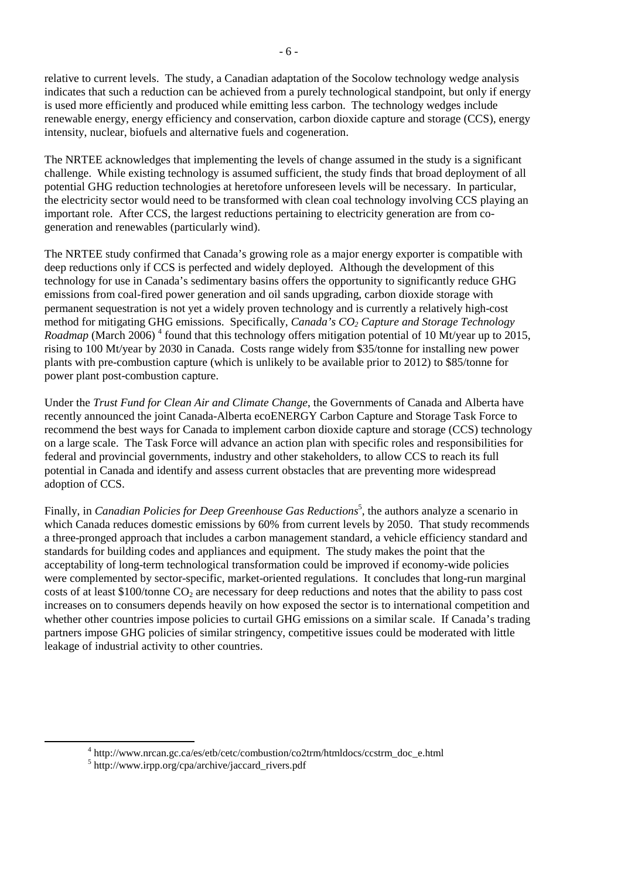relative to current levels. The study, a Canadian adaptation of the Socolow technology wedge analysis indicates that such a reduction can be achieved from a purely technological standpoint, but only if energy is used more efficiently and produced while emitting less carbon. The technology wedges include renewable energy, energy efficiency and conservation, carbon dioxide capture and storage (CCS), energy intensity, nuclear, biofuels and alternative fuels and cogeneration.

The NRTEE acknowledges that implementing the levels of change assumed in the study is a significant challenge. While existing technology is assumed sufficient, the study finds that broad deployment of all potential GHG reduction technologies at heretofore unforeseen levels will be necessary. In particular, the electricity sector would need to be transformed with clean coal technology involving CCS playing an important role. After CCS, the largest reductions pertaining to electricity generation are from cogeneration and renewables (particularly wind).

The NRTEE study confirmed that Canada's growing role as a major energy exporter is compatible with deep reductions only if CCS is perfected and widely deployed. Although the development of this technology for use in Canada's sedimentary basins offers the opportunity to significantly reduce GHG emissions from coal-fired power generation and oil sands upgrading, carbon dioxide storage with permanent sequestration is not yet a widely proven technology and is currently a relatively high-cost method for mitigating GHG emissions. Specifically, *Canada's CO<sub>2</sub> Capture and Storage Technology Roadmap* (March 2006)<sup>4</sup> found that this technology offers mitigation potential of 10 Mt/year up to 2015, rising to 100 Mt/year by 2030 in Canada. Costs range widely from \$35/tonne for installing new power plants with pre-combustion capture (which is unlikely to be available prior to 2012) to \$85/tonne for power plant post-combustion capture.

Under the *Trust Fund for Clean Air and Climate Change*, the Governments of Canada and Alberta have recently announced the joint Canada-Alberta ecoENERGY Carbon Capture and Storage Task Force to recommend the best ways for Canada to implement carbon dioxide capture and storage (CCS) technology on a large scale. The Task Force will advance an action plan with specific roles and responsibilities for federal and provincial governments, industry and other stakeholders, to allow CCS to reach its full potential in Canada and identify and assess current obstacles that are preventing more widespread adoption of CCS.

Finally, in *Canadian Policies for Deep Greenhouse Gas Reductions*<sup>5</sup>, the authors analyze a scenario in which Canada reduces domestic emissions by 60% from current levels by 2050. That study recommends a three-pronged approach that includes a carbon management standard, a vehicle efficiency standard and standards for building codes and appliances and equipment. The study makes the point that the acceptability of long-term technological transformation could be improved if economy-wide policies were complemented by sector-specific, market-oriented regulations. It concludes that long-run marginal costs of at least \$100/tonne  $CO<sub>2</sub>$  are necessary for deep reductions and notes that the ability to pass cost increases on to consumers depends heavily on how exposed the sector is to international competition and whether other countries impose policies to curtail GHG emissions on a similar scale. If Canada's trading partners impose GHG policies of similar stringency, competitive issues could be moderated with little leakage of industrial activity to other countries.

 $\overline{a}$ <sup>4</sup> http://www.nrcan.gc.ca/es/etb/cetc/combustion/co2trm/htmldocs/ccstrm\_doc\_e.html

http://www.irpp.org/cpa/archive/jaccard\_rivers.pdf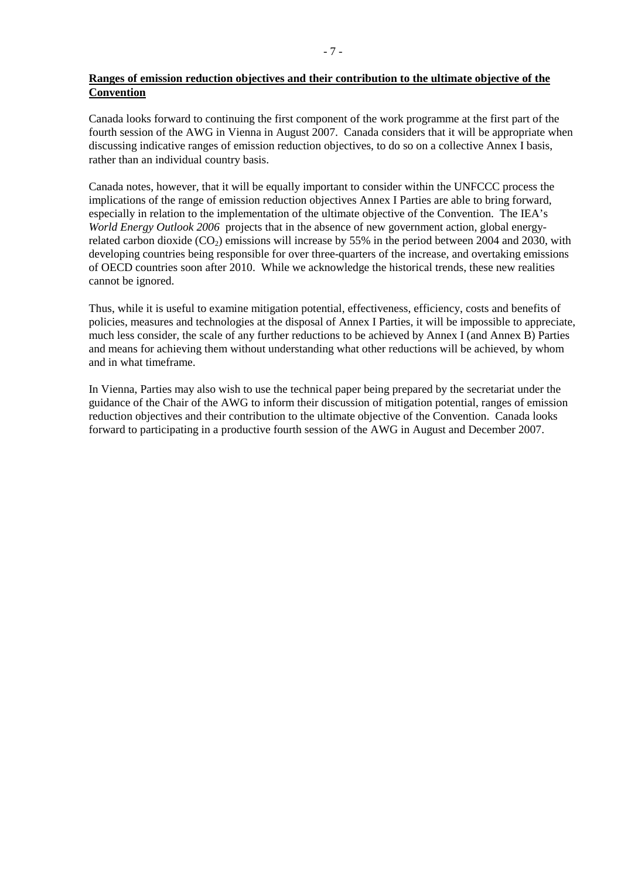### **Ranges of emission reduction objectives and their contribution to the ultimate objective of the Convention**

Canada looks forward to continuing the first component of the work programme at the first part of the fourth session of the AWG in Vienna in August 2007. Canada considers that it will be appropriate when discussing indicative ranges of emission reduction objectives, to do so on a collective Annex I basis, rather than an individual country basis.

Canada notes, however, that it will be equally important to consider within the UNFCCC process the implications of the range of emission reduction objectives Annex I Parties are able to bring forward, especially in relation to the implementation of the ultimate objective of the Convention. The IEA's *World Energy Outlook 2006* projects that in the absence of new government action, global energyrelated carbon dioxide  $(CO_2)$  emissions will increase by 55% in the period between 2004 and 2030, with developing countries being responsible for over three-quarters of the increase, and overtaking emissions of OECD countries soon after 2010. While we acknowledge the historical trends, these new realities cannot be ignored.

Thus, while it is useful to examine mitigation potential, effectiveness, efficiency, costs and benefits of policies, measures and technologies at the disposal of Annex I Parties, it will be impossible to appreciate, much less consider, the scale of any further reductions to be achieved by Annex I (and Annex B) Parties and means for achieving them without understanding what other reductions will be achieved, by whom and in what timeframe.

In Vienna, Parties may also wish to use the technical paper being prepared by the secretariat under the guidance of the Chair of the AWG to inform their discussion of mitigation potential, ranges of emission reduction objectives and their contribution to the ultimate objective of the Convention. Canada looks forward to participating in a productive fourth session of the AWG in August and December 2007.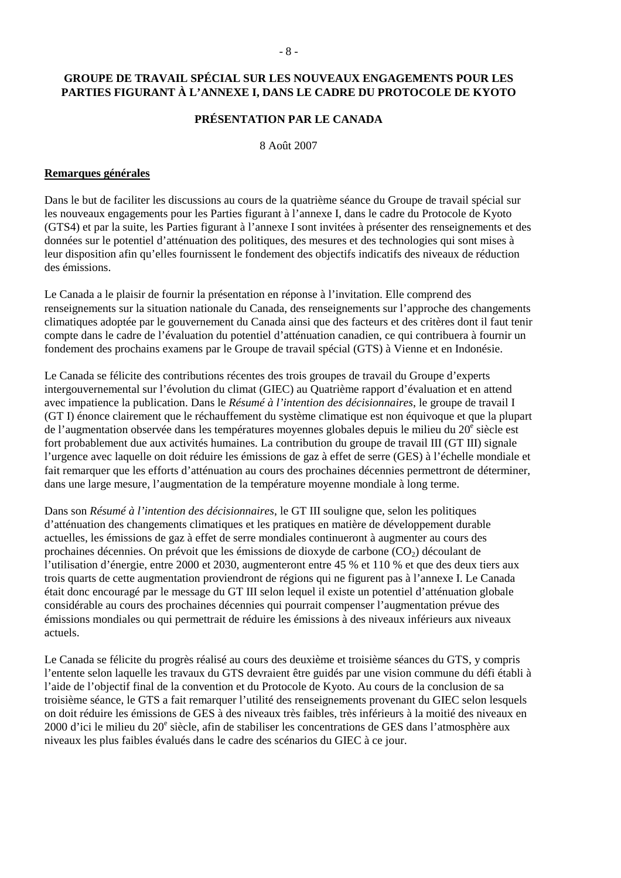# **GROUPE DE TRAVAIL SPÉCIAL SUR LES NOUVEAUX ENGAGEMENTS POUR LES PARTIES FIGURANT À L'ANNEXE I, DANS LE CADRE DU PROTOCOLE DE KYOTO**

# **PRÉSENTATION PAR LE CANADA**

8 Août 2007

#### **Remarques générales**

Dans le but de faciliter les discussions au cours de la quatrième séance du Groupe de travail spécial sur les nouveaux engagements pour les Parties figurant à l'annexe I, dans le cadre du Protocole de Kyoto (GTS4) et par la suite, les Parties figurant à l'annexe I sont invitées à présenter des renseignements et des données sur le potentiel d'atténuation des politiques, des mesures et des technologies qui sont mises à leur disposition afin qu'elles fournissent le fondement des objectifs indicatifs des niveaux de réduction des émissions.

Le Canada a le plaisir de fournir la présentation en réponse à l'invitation. Elle comprend des renseignements sur la situation nationale du Canada, des renseignements sur l'approche des changements climatiques adoptée par le gouvernement du Canada ainsi que des facteurs et des critères dont il faut tenir compte dans le cadre de l'évaluation du potentiel d'atténuation canadien, ce qui contribuera à fournir un fondement des prochains examens par le Groupe de travail spécial (GTS) à Vienne et en Indonésie.

Le Canada se félicite des contributions récentes des trois groupes de travail du Groupe d'experts intergouvernemental sur l'évolution du climat (GIEC) au Quatrième rapport d'évaluation et en attend avec impatience la publication. Dans le *Résumé à l'intention des décisionnaires*, le groupe de travail I (GT I) énonce clairement que le réchauffement du système climatique est non équivoque et que la plupart de l'augmentation observée dans les températures moyennes globales depuis le milieu du 20<sup>e</sup> siècle est fort probablement due aux activités humaines. La contribution du groupe de travail III (GT III) signale l'urgence avec laquelle on doit réduire les émissions de gaz à effet de serre (GES) à l'échelle mondiale et fait remarquer que les efforts d'atténuation au cours des prochaines décennies permettront de déterminer, dans une large mesure, l'augmentation de la température moyenne mondiale à long terme.

Dans son *Résumé à l'intention des décisionnaires*, le GT III souligne que, selon les politiques d'atténuation des changements climatiques et les pratiques en matière de développement durable actuelles, les émissions de gaz à effet de serre mondiales continueront à augmenter au cours des prochaines décennies. On prévoit que les émissions de dioxyde de carbone  $(CO<sub>2</sub>)$  découlant de l'utilisation d'énergie, entre 2000 et 2030, augmenteront entre 45 % et 110 % et que des deux tiers aux trois quarts de cette augmentation proviendront de régions qui ne figurent pas à l'annexe I. Le Canada était donc encouragé par le message du GT III selon lequel il existe un potentiel d'atténuation globale considérable au cours des prochaines décennies qui pourrait compenser l'augmentation prévue des émissions mondiales ou qui permettrait de réduire les émissions à des niveaux inférieurs aux niveaux actuels.

Le Canada se félicite du progrès réalisé au cours des deuxième et troisième séances du GTS, y compris l'entente selon laquelle les travaux du GTS devraient être guidés par une vision commune du défi établi à l'aide de l'objectif final de la convention et du Protocole de Kyoto. Au cours de la conclusion de sa troisième séance, le GTS a fait remarquer l'utilité des renseignements provenant du GIEC selon lesquels on doit réduire les émissions de GES à des niveaux très faibles, très inférieurs à la moitié des niveaux en 2000 d'ici le milieu du 20<sup>e</sup> siècle, afin de stabiliser les concentrations de GES dans l'atmosphère aux niveaux les plus faibles évalués dans le cadre des scénarios du GIEC à ce jour.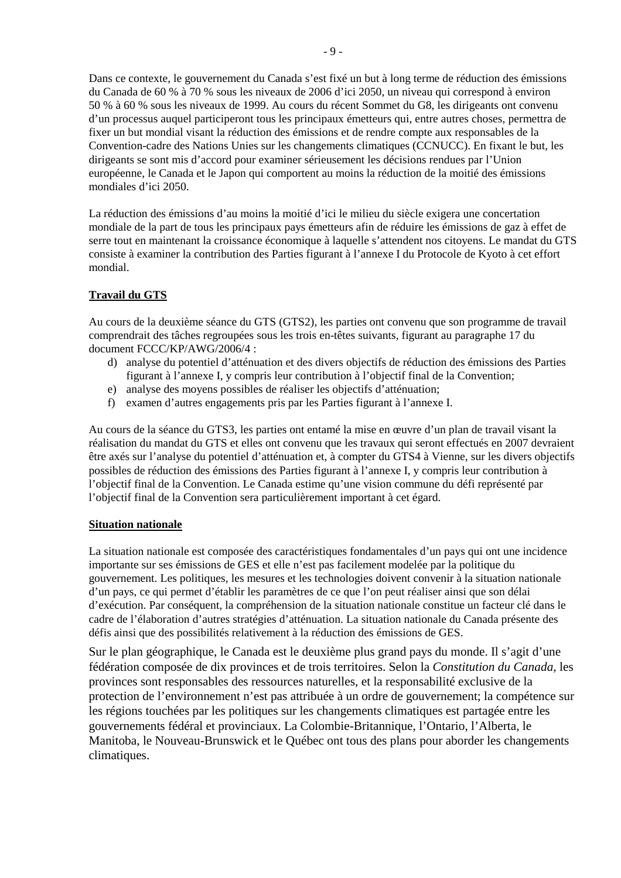Dans ce contexte, le gouvernement du Canada s'est fixé un but à long terme de réduction des émissions du Canada de 60 % à 70 % sous les niveaux de 2006 d'ici 2050, un niveau qui correspond à environ 50 % à 60 % sous les niveaux de 1999. Au cours du récent Sommet du G8, les dirigeants ont convenu d'un processus auquel participeront tous les principaux émetteurs qui, entre autres choses, permettra de fixer un but mondial visant la réduction des émissions et de rendre compte aux responsables de la Convention-cadre des Nations Unies sur les changements climatiques (CCNUCC). En fixant le but, les dirigeants se sont mis d'accord pour examiner sérieusement les décisions rendues par l'Union européenne, le Canada et le Japon qui comportent au moins la réduction de la moitié des émissions mondiales d'ici 2050.

La réduction des émissions d'au moins la moitié d'ici le milieu du siècle exigera une concertation mondiale de la part de tous les principaux pays émetteurs afin de réduire les émissions de gaz à effet de serre tout en maintenant la croissance économique à laquelle s'attendent nos citoyens. Le mandat du GTS consiste à examiner la contribution des Parties figurant à l'annexe I du Protocole de Kyoto à cet effort mondial.

# **Travail du GTS**

Au cours de la deuxième séance du GTS (GTS2), les parties ont convenu que son programme de travail comprendrait des tâches regroupées sous les trois en-têtes suivants, figurant au paragraphe 17 du document FCCC/KP/AWG/2006/4 :

- d) analyse du potentiel d'atténuation et des divers objectifs de réduction des émissions des Parties figurant à l'annexe I, y compris leur contribution à l'objectif final de la Convention;
- e) analyse des moyens possibles de réaliser les objectifs d'atténuation;
- f) examen d'autres engagements pris par les Parties figurant à l'annexe I.

Au cours de la séance du GTS3, les parties ont entamé la mise en œuvre d'un plan de travail visant la réalisation du mandat du GTS et elles ont convenu que les travaux qui seront effectués en 2007 devraient être axés sur l'analyse du potentiel d'atténuation et, à compter du GTS4 à Vienne, sur les divers objectifs possibles de réduction des émissions des Parties figurant à l'annexe I, y compris leur contribution à l'objectif final de la Convention. Le Canada estime qu'une vision commune du défi représenté par l'objectif final de la Convention sera particulièrement important à cet égard.

### **Situation nationale**

La situation nationale est composée des caractéristiques fondamentales d'un pays qui ont une incidence importante sur ses émissions de GES et elle n'est pas facilement modelée par la politique du gouvernement. Les politiques, les mesures et les technologies doivent convenir à la situation nationale d'un pays, ce qui permet d'établir les paramètres de ce que l'on peut réaliser ainsi que son délai d'exécution. Par conséquent, la compréhension de la situation nationale constitue un facteur clé dans le cadre de l'élaboration d'autres stratégies d'atténuation. La situation nationale du Canada présente des défis ainsi que des possibilités relativement à la réduction des émissions de GES.

Sur le plan géographique, le Canada est le deuxième plus grand pays du monde. Il s'agit d'une fédération composée de dix provinces et de trois territoires. Selon la *Constitution du Canada*, les provinces sont responsables des ressources naturelles, et la responsabilité exclusive de la protection de l'environnement n'est pas attribuée à un ordre de gouvernement; la compétence sur les régions touchées par les politiques sur les changements climatiques est partagée entre les gouvernements fédéral et provinciaux. La Colombie-Britannique, l'Ontario, l'Alberta, le Manitoba, le Nouveau-Brunswick et le Québec ont tous des plans pour aborder les changements climatiques.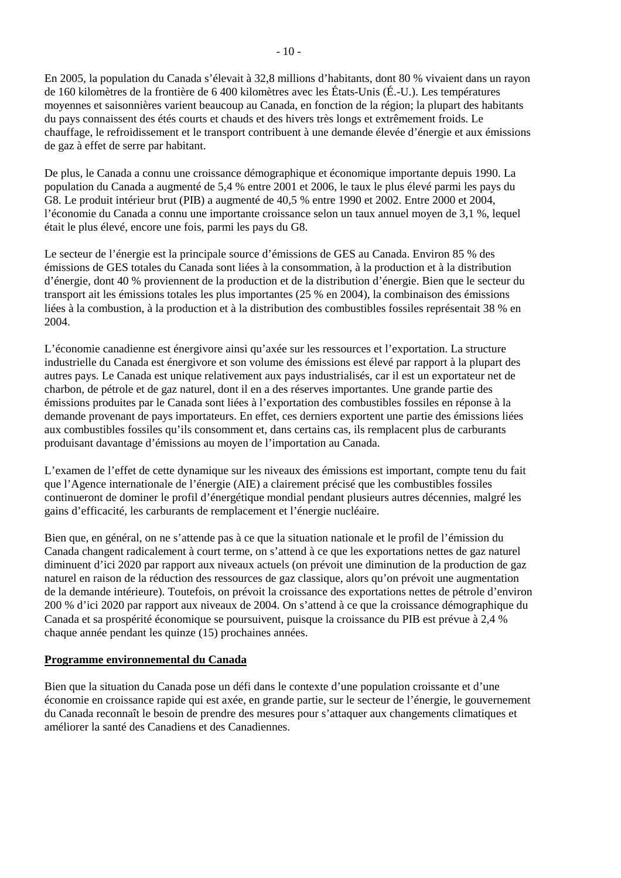En 2005, la population du Canada s'élevait à 32,8 millions d'habitants, dont 80 % vivaient dans un rayon de 160 kilomètres de la frontière de 6 400 kilomètres avec les États-Unis (É.-U.). Les températures moyennes et saisonnières varient beaucoup au Canada, en fonction de la région; la plupart des habitants du pays connaissent des étés courts et chauds et des hivers très longs et extrêmement froids. Le chauffage, le refroidissement et le transport contribuent à une demande élevée d'énergie et aux émissions de gaz à effet de serre par habitant.

De plus, le Canada a connu une croissance démographique et économique importante depuis 1990. La population du Canada a augmenté de 5,4 % entre 2001 et 2006, le taux le plus élevé parmi les pays du G8. Le produit intérieur brut (PIB) a augmenté de 40,5 % entre 1990 et 2002. Entre 2000 et 2004, l'économie du Canada a connu une importante croissance selon un taux annuel moyen de 3,1 %, lequel était le plus élevé, encore une fois, parmi les pays du G8.

Le secteur de l'énergie est la principale source d'émissions de GES au Canada. Environ 85 % des émissions de GES totales du Canada sont liées à la consommation, à la production et à la distribution d'énergie, dont 40 % proviennent de la production et de la distribution d'énergie. Bien que le secteur du transport ait les émissions totales les plus importantes (25 % en 2004), la combinaison des émissions liées à la combustion, à la production et à la distribution des combustibles fossiles représentait 38 % en 2004.

L'économie canadienne est énergivore ainsi qu'axée sur les ressources et l'exportation. La structure industrielle du Canada est énergivore et son volume des émissions est élevé par rapport à la plupart des autres pays. Le Canada est unique relativement aux pays industrialisés, car il est un exportateur net de charbon, de pétrole et de gaz naturel, dont il en a des réserves importantes. Une grande partie des émissions produites par le Canada sont liées à l'exportation des combustibles fossiles en réponse à la demande provenant de pays importateurs. En effet, ces derniers exportent une partie des émissions liées aux combustibles fossiles qu'ils consomment et, dans certains cas, ils remplacent plus de carburants produisant davantage d'émissions au moyen de l'importation au Canada.

L'examen de l'effet de cette dynamique sur les niveaux des émissions est important, compte tenu du fait que l'Agence internationale de l'énergie (AIE) a clairement précisé que les combustibles fossiles continueront de dominer le profil d'énergétique mondial pendant plusieurs autres décennies, malgré les gains d'efficacité, les carburants de remplacement et l'énergie nucléaire.

Bien que, en général, on ne s'attende pas à ce que la situation nationale et le profil de l'émission du Canada changent radicalement à court terme, on s'attend à ce que les exportations nettes de gaz naturel diminuent d'ici 2020 par rapport aux niveaux actuels (on prévoit une diminution de la production de gaz naturel en raison de la réduction des ressources de gaz classique, alors qu'on prévoit une augmentation de la demande intérieure). Toutefois, on prévoit la croissance des exportations nettes de pétrole d'environ 200 % d'ici 2020 par rapport aux niveaux de 2004. On s'attend à ce que la croissance démographique du Canada et sa prospérité économique se poursuivent, puisque la croissance du PIB est prévue à 2,4 % chaque année pendant les quinze (15) prochaines années.

# **Programme environnemental du Canada**

Bien que la situation du Canada pose un défi dans le contexte d'une population croissante et d'une économie en croissance rapide qui est axée, en grande partie, sur le secteur de l'énergie, le gouvernement du Canada reconnaît le besoin de prendre des mesures pour s'attaquer aux changements climatiques et améliorer la santé des Canadiens et des Canadiennes.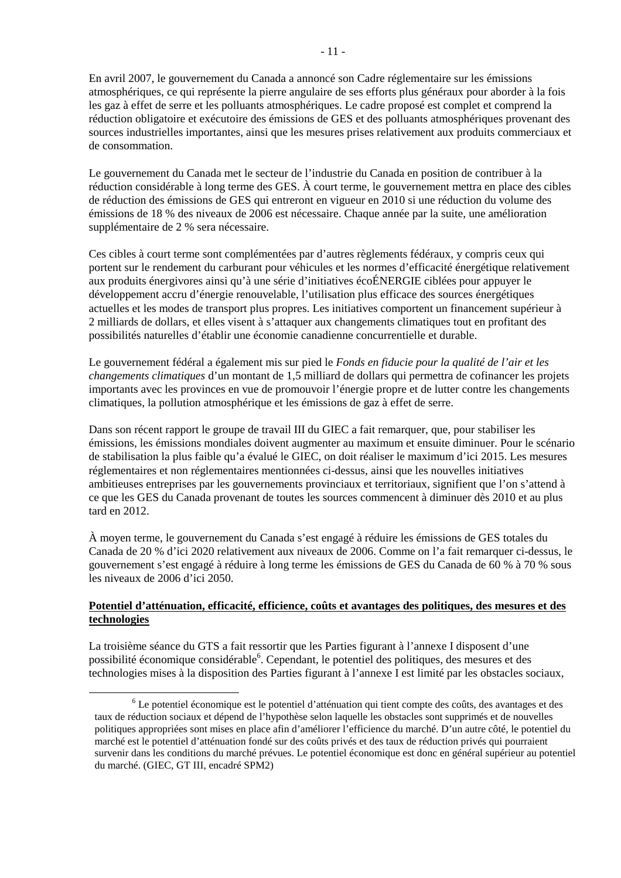En avril 2007, le gouvernement du Canada a annoncé son Cadre réglementaire sur les émissions atmosphériques, ce qui représente la pierre angulaire de ses efforts plus généraux pour aborder à la fois les gaz à effet de serre et les polluants atmosphériques. Le cadre proposé est complet et comprend la réduction obligatoire et exécutoire des émissions de GES et des polluants atmosphériques provenant des sources industrielles importantes, ainsi que les mesures prises relativement aux produits commerciaux et de consommation.

Le gouvernement du Canada met le secteur de l'industrie du Canada en position de contribuer à la réduction considérable à long terme des GES. À court terme, le gouvernement mettra en place des cibles de réduction des émissions de GES qui entreront en vigueur en 2010 si une réduction du volume des émissions de 18 % des niveaux de 2006 est nécessaire. Chaque année par la suite, une amélioration supplémentaire de 2 % sera nécessaire.

Ces cibles à court terme sont complémentées par d'autres règlements fédéraux, y compris ceux qui portent sur le rendement du carburant pour véhicules et les normes d'efficacité énergétique relativement aux produits énergivores ainsi qu'à une série d'initiatives écoÉNERGIE ciblées pour appuyer le développement accru d'énergie renouvelable, l'utilisation plus efficace des sources énergétiques actuelles et les modes de transport plus propres. Les initiatives comportent un financement supérieur à 2 milliards de dollars, et elles visent à s'attaquer aux changements climatiques tout en profitant des possibilités naturelles d'établir une économie canadienne concurrentielle et durable.

Le gouvernement fédéral a également mis sur pied le *Fonds en fiducie pour la qualité de l'air et les changements climatiques* d'un montant de 1,5 milliard de dollars qui permettra de cofinancer les projets importants avec les provinces en vue de promouvoir l'énergie propre et de lutter contre les changements climatiques, la pollution atmosphérique et les émissions de gaz à effet de serre.

Dans son récent rapport le groupe de travail III du GIEC a fait remarquer, que, pour stabiliser les émissions, les émissions mondiales doivent augmenter au maximum et ensuite diminuer. Pour le scénario de stabilisation la plus faible qu'a évalué le GIEC, on doit réaliser le maximum d'ici 2015. Les mesures réglementaires et non réglementaires mentionnées ci-dessus, ainsi que les nouvelles initiatives ambitieuses entreprises par les gouvernements provinciaux et territoriaux, signifient que l'on s'attend à ce que les GES du Canada provenant de toutes les sources commencent à diminuer dès 2010 et au plus tard en 2012.

À moyen terme, le gouvernement du Canada s'est engagé à réduire les émissions de GES totales du Canada de 20 % d'ici 2020 relativement aux niveaux de 2006. Comme on l'a fait remarquer ci-dessus, le gouvernement s'est engagé à réduire à long terme les émissions de GES du Canada de 60 % à 70 % sous les niveaux de 2006 d'ici 2050.

# **Potentiel d'atténuation, efficacité, efficience, coûts et avantages des politiques, des mesures et des technologies**

La troisième séance du GTS a fait ressortir que les Parties figurant à l'annexe I disposent d'une possibilité économique considérable<sup>6</sup>. Cependant, le potentiel des politiques, des mesures et des technologies mises à la disposition des Parties figurant à l'annexe I est limité par les obstacles sociaux,

 $\overline{6}$  $6$  Le potentiel économique est le potentiel d'atténuation qui tient compte des coûts, des avantages et des taux de réduction sociaux et dépend de l'hypothèse selon laquelle les obstacles sont supprimés et de nouvelles politiques appropriées sont mises en place afin d'améliorer l'efficience du marché. D'un autre côté, le potentiel du marché est le potentiel d'atténuation fondé sur des coûts privés et des taux de réduction privés qui pourraient survenir dans les conditions du marché prévues. Le potentiel économique est donc en général supérieur au potentiel du marché. (GIEC, GT III, encadré SPM2)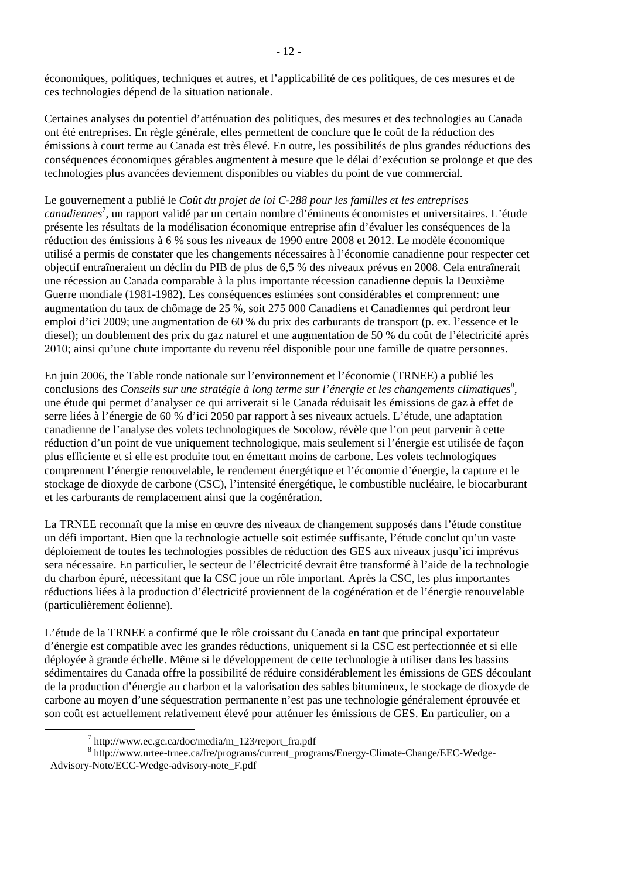économiques, politiques, techniques et autres, et l'applicabilité de ces politiques, de ces mesures et de ces technologies dépend de la situation nationale.

Certaines analyses du potentiel d'atténuation des politiques, des mesures et des technologies au Canada ont été entreprises. En règle générale, elles permettent de conclure que le coût de la réduction des émissions à court terme au Canada est très élevé. En outre, les possibilités de plus grandes réductions des conséquences économiques gérables augmentent à mesure que le délai d'exécution se prolonge et que des technologies plus avancées deviennent disponibles ou viables du point de vue commercial.

Le gouvernement a publié le *Coût du projet de loi C-288 pour les familles et les entreprises canadiennes*<sup>7</sup> , un rapport validé par un certain nombre d'éminents économistes et universitaires. L'étude présente les résultats de la modélisation économique entreprise afin d'évaluer les conséquences de la réduction des émissions à 6 % sous les niveaux de 1990 entre 2008 et 2012. Le modèle économique utilisé a permis de constater que les changements nécessaires à l'économie canadienne pour respecter cet objectif entraîneraient un déclin du PIB de plus de 6,5 % des niveaux prévus en 2008. Cela entraînerait une récession au Canada comparable à la plus importante récession canadienne depuis la Deuxième Guerre mondiale (1981-1982). Les conséquences estimées sont considérables et comprennent: une augmentation du taux de chômage de 25 %, soit 275 000 Canadiens et Canadiennes qui perdront leur emploi d'ici 2009; une augmentation de 60 % du prix des carburants de transport (p. ex. l'essence et le diesel); un doublement des prix du gaz naturel et une augmentation de 50 % du coût de l'électricité après 2010; ainsi qu'une chute importante du revenu réel disponible pour une famille de quatre personnes.

En juin 2006, the Table ronde nationale sur l'environnement et l'économie (TRNEE) a publié les conclusions des *Conseils sur une stratégie à long terme sur l'énergie et les changements climatiques*<sup>8</sup>, une étude qui permet d'analyser ce qui arriverait si le Canada réduisait les émissions de gaz à effet de serre liées à l'énergie de 60 % d'ici 2050 par rapport à ses niveaux actuels. L'étude, une adaptation canadienne de l'analyse des volets technologiques de Socolow, révèle que l'on peut parvenir à cette réduction d'un point de vue uniquement technologique, mais seulement si l'énergie est utilisée de façon plus efficiente et si elle est produite tout en émettant moins de carbone. Les volets technologiques comprennent l'énergie renouvelable, le rendement énergétique et l'économie d'énergie, la capture et le stockage de dioxyde de carbone (CSC), l'intensité énergétique, le combustible nucléaire, le biocarburant et les carburants de remplacement ainsi que la cogénération.

La TRNEE reconnaît que la mise en œuvre des niveaux de changement supposés dans l'étude constitue un défi important. Bien que la technologie actuelle soit estimée suffisante, l'étude conclut qu'un vaste déploiement de toutes les technologies possibles de réduction des GES aux niveaux jusqu'ici imprévus sera nécessaire. En particulier, le secteur de l'électricité devrait être transformé à l'aide de la technologie du charbon épuré, nécessitant que la CSC joue un rôle important. Après la CSC, les plus importantes réductions liées à la production d'électricité proviennent de la cogénération et de l'énergie renouvelable (particulièrement éolienne).

L'étude de la TRNEE a confirmé que le rôle croissant du Canada en tant que principal exportateur d'énergie est compatible avec les grandes réductions, uniquement si la CSC est perfectionnée et si elle déployée à grande échelle. Même si le développement de cette technologie à utiliser dans les bassins sédimentaires du Canada offre la possibilité de réduire considérablement les émissions de GES découlant de la production d'énergie au charbon et la valorisation des sables bitumineux, le stockage de dioxyde de carbone au moyen d'une séquestration permanente n'est pas une technologie généralement éprouvée et son coût est actuellement relativement élevé pour atténuer les émissions de GES. En particulier, on a

7

 $\frac{7}{1}$ http://www.ec.gc.ca/doc/media/m\_123/report\_fra.pdf

http://www.nrtee-trnee.ca/fre/programs/current\_programs/Energy-Climate-Change/EEC-Wedge-Advisory-Note/ECC-Wedge-advisory-note\_F.pdf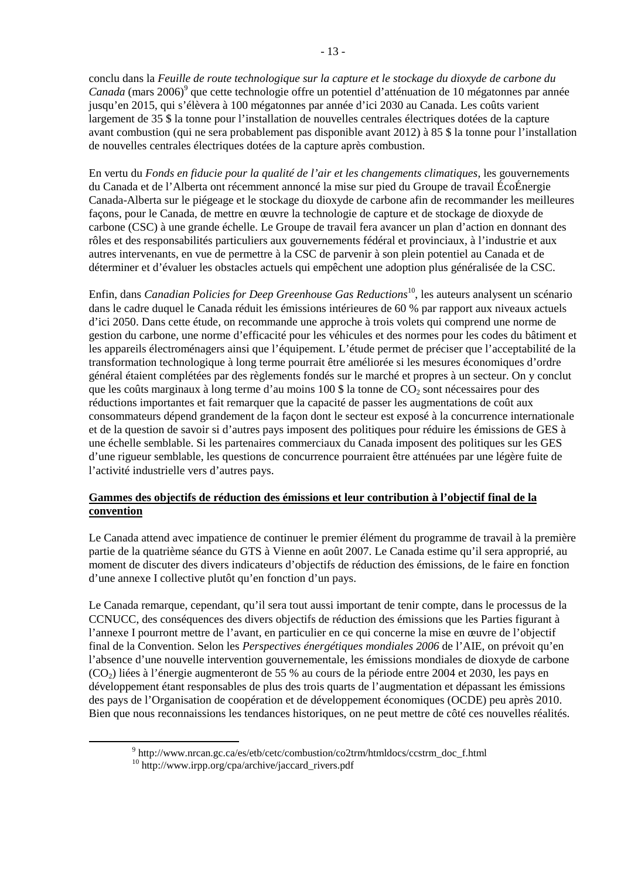conclu dans la *Feuille de route technologique sur la capture et le stockage du dioxyde de carbone du*  Canada (mars 2006)<sup>9</sup> que cette technologie offre un potentiel d'atténuation de 10 mégatonnes par année jusqu'en 2015, qui s'élèvera à 100 mégatonnes par année d'ici 2030 au Canada. Les coûts varient largement de 35 \$ la tonne pour l'installation de nouvelles centrales électriques dotées de la capture avant combustion (qui ne sera probablement pas disponible avant 2012) à 85 \$ la tonne pour l'installation de nouvelles centrales électriques dotées de la capture après combustion.

En vertu du *Fonds en fiducie pour la qualité de l'air et les changements climatiques*, les gouvernements du Canada et de l'Alberta ont récemment annoncé la mise sur pied du Groupe de travail ÉcoÉnergie Canada-Alberta sur le piégeage et le stockage du dioxyde de carbone afin de recommander les meilleures façons, pour le Canada, de mettre en œuvre la technologie de capture et de stockage de dioxyde de carbone (CSC) à une grande échelle. Le Groupe de travail fera avancer un plan d'action en donnant des rôles et des responsabilités particuliers aux gouvernements fédéral et provinciaux, à l'industrie et aux autres intervenants, en vue de permettre à la CSC de parvenir à son plein potentiel au Canada et de déterminer et d'évaluer les obstacles actuels qui empêchent une adoption plus généralisée de la CSC.

Enfin, dans *Canadian Policies for Deep Greenhouse Gas Reductions*10, les auteurs analysent un scénario dans le cadre duquel le Canada réduit les émissions intérieures de 60 % par rapport aux niveaux actuels d'ici 2050. Dans cette étude, on recommande une approche à trois volets qui comprend une norme de gestion du carbone, une norme d'efficacité pour les véhicules et des normes pour les codes du bâtiment et les appareils électroménagers ainsi que l'équipement. L'étude permet de préciser que l'acceptabilité de la transformation technologique à long terme pourrait être améliorée si les mesures économiques d'ordre général étaient complétées par des règlements fondés sur le marché et propres à un secteur. On y conclut que les coûts marginaux à long terme d'au moins  $100 \text{ }\frac{1}{2}$  la tonne de CO<sub>2</sub> sont nécessaires pour des réductions importantes et fait remarquer que la capacité de passer les augmentations de coût aux consommateurs dépend grandement de la façon dont le secteur est exposé à la concurrence internationale et de la question de savoir si d'autres pays imposent des politiques pour réduire les émissions de GES à une échelle semblable. Si les partenaires commerciaux du Canada imposent des politiques sur les GES d'une rigueur semblable, les questions de concurrence pourraient être atténuées par une légère fuite de l'activité industrielle vers d'autres pays.

# **Gammes des objectifs de réduction des émissions et leur contribution à l'objectif final de la convention**

Le Canada attend avec impatience de continuer le premier élément du programme de travail à la première partie de la quatrième séance du GTS à Vienne en août 2007. Le Canada estime qu'il sera approprié, au moment de discuter des divers indicateurs d'objectifs de réduction des émissions, de le faire en fonction d'une annexe I collective plutôt qu'en fonction d'un pays.

Le Canada remarque, cependant, qu'il sera tout aussi important de tenir compte, dans le processus de la CCNUCC, des conséquences des divers objectifs de réduction des émissions que les Parties figurant à l'annexe I pourront mettre de l'avant, en particulier en ce qui concerne la mise en œuvre de l'objectif final de la Convention. Selon les *Perspectives énergétiques mondiales 2006* de l'AIE, on prévoit qu'en l'absence d'une nouvelle intervention gouvernementale, les émissions mondiales de dioxyde de carbone (CO2) liées à l'énergie augmenteront de 55 % au cours de la période entre 2004 et 2030, les pays en développement étant responsables de plus des trois quarts de l'augmentation et dépassant les émissions des pays de l'Organisation de coopération et de développement économiques (OCDE) peu après 2010. Bien que nous reconnaissions les tendances historiques, on ne peut mettre de côté ces nouvelles réalités.

 <sup>9</sup>  $^{9}$  http://www.nrcan.gc.ca/es/etb/cetc/combustion/co2trm/htmldocs/ccstrm\_doc\_f.html  $^{10}$  http://www.irpp.org/cpa/archive/jaccard\_rivers.pdf